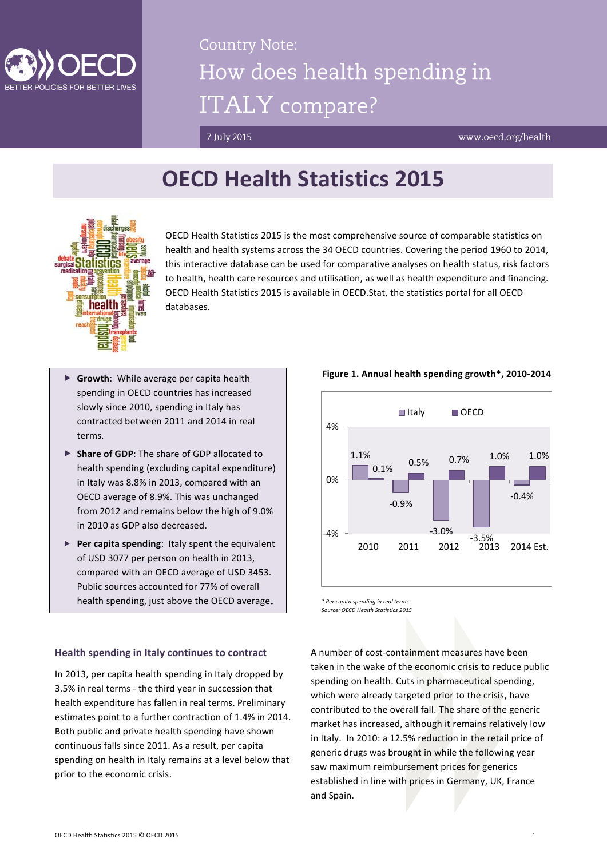

# **Country Note:** How does health spending in **ITALY** compare?

7 July 2015

www.oecd.org/health

## **OECD Health Statistics 2015**



OECD Health Statistics 2015 is the most comprehensive source of comparable statistics on health and health systems across the 34 OECD countries. Covering the period 1960 to 2014, this interactive database can be used for comparative analyses on health status, risk factors to health, health care resources and utilisation, as well as health expenditure and financing. OECD Health Statistics 2015 is available in OECD.Stat, the statistics portal for all OECD databases.

- **Growth**: While average per capita health spending in OECD countries has increased slowly since 2010, spending in Italy has contracted between 2011 and 2014 in real terms.
- **Share of GDP**: The share of GDP allocated to health spending (excluding capital expenditure) in Italy was 8.8% in 2013, compared with an OECD average of 8.9%. This was unchanged from 2012 and remains below the high of 9.0% in 2010 as GDP also decreased.
- **Per capita spending**: Italy spent the equivalent of USD 3077 per person on health in 2013, compared with an OECD average of USD 3453. Public sources accounted for 77% of overall health spending, just above the OECD average.

### 1.1% -0.9% -3.0% -3.5% -0.4%  $\begin{bmatrix} 6 & & & 0.5\% & & 0.7\% & & 1.0\% & & 1.0\% \end{bmatrix}$ -4% 0% 4% 2010 2011 2012 2013 2014 Est. **■Italy** ■ OECD

**Figure 1. Annual health spending growth\*, 2010-2014**

*\* Per capita spending in real terms Source: OECD Health Statistics 2015*

#### **Health spending in Italy continues to contract**

In 2013, per capita health spending in Italy dropped by 3.5% in real terms - the third year in succession that health expenditure has fallen in real terms. Preliminary estimates point to a further contraction of 1.4% in 2014. Both public and private health spending have shown continuous falls since 2011. As a result, per capita spending on health in Italy remains at a level below that prior to the economic crisis.

A number of cost-containment measures have been taken in the wake of the economic crisis to reduce public spending on health. Cuts in pharmaceutical spending, which were already targeted prior to the crisis, have contributed to the overall fall. The share of the generic market has increased, although it remains relatively low in Italy. In 2010: a 12.5% reduction in the retail price of generic drugs was brought in while the following year saw maximum reimbursement prices for generics established in line with prices in Germany, UK, France and Spain.